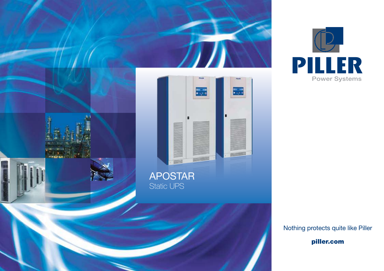



Nothing protects quite like Piller

piller.com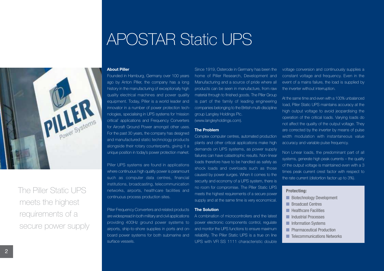# APOSTAR Static UPS

#### **About Piller**

Founded in Hamburg, Germany over 100 years ago by Anton Piller, the company has a long history in the manufacturing of exceptionally high quality electrical machines and power quality equipment. Today, Piller is a world leader and innovator in a number of power protection technologies, specialising in UPS systems for 'mission critical' applications and Frequency Converters for Aircraft Ground Power amongst other uses. For the past 30 years, the company has designed and manufactured static technology products alongside their rotary counterparts, giving it a unique position in today's power protection market.

Piller UPS systems are found in applications where continuous high quality power is paramount such as computer data centres, financial institutions, broadcasting, telecommunication networks, airports, healthcare facilities and continuous process production sites.

Piller Frequency Converters and related products are widespread in both military and civil applications providing 400Hz ground power systems to airports, ship-to-shore supplies in ports and onboard power systems for both submarine and surface vessels.

Since 1919, Osterode in Germany has been the home of Piller Research, Development and Manufacturing and a source of pride where all products can be seen in manufacture, from raw material through to finished goods. The Piller Group is part of the family of leading engineering companies belonging to the British multi-discipline group Langley Holdings Plc. (www.langleyholdings.com).

#### **The Problem**

Complex computer centres, automated production plants and other critical applications make high demands on UPS systems, as power supply failures can have catastrophic results. Non-linear loads therefore have to be handled as safely as shock loads and overloads such as those caused by power surges. When it comes to the security and economy of a UPS system, there is no room for compromise. The Piller Static UPS meets the highest requirements of a secure power supply and at the same time is very economical.

#### **The Solution**

A combination of microcontrollers and the latest power electronic components control, regulate and monitor the UPS functions to ensure maximum reliability. The Piller Static UPS is a true on line UPS with VFI SS 1111 characteristic double

voltage conversion and continuously supplies a constant voltage and frequency. Even in the event of a mains failure, the load is supplied by the inverter without interruption.

At the same time and even with a 100% unbalanced load, Piller Static UPS maintains accuracy at the high output voltage to avoid jeopardising the operation of the critical loads. Varying loads do not affect the quality of the output voltage. They are corrected by the inverter by means of pulse width modulation with instantaneous value accuracy and variable pulse frequency.

Non Linear loads, the predominant part of all systems, generate high peak currents – the quality of the output voltage is maintained even with a 3 times peak current crest factor with respect to the rate current (distortion factor up to 3%).

### **Protecting:**

- **n** Biotechnology Development
- **n** Broadcast Centres
- **N** Healthcare Facilities
- **n** Industrial Processes
- **n** Information Systems
- **n** Pharmaceutical Production
- **n** Telecommunications Networks

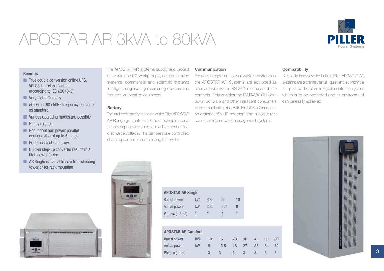# APOSTAR AR 3kVA to 80kVA



#### **Benefits**

- n True double conversion online UPS. VFI SS 111 classification (according to IEC 62040-3)
- $\blacksquare$  Very high efficiency
- 50>60 or 60>50Hz frequency converter as standard
- **N** Various operating modes are possible
- $\blacksquare$  Highly reliable

PALLENT

- $\blacksquare$  Redundant and power-parallel configuration of up to 6 units
- $\blacksquare$  Periodical test of battery
- $\blacksquare$  Built-in step-up converter results in a high power factor
- $\blacksquare$  AR Single is available as a free-standing tower or for rack mounting

The APOSTAR AR systems supply and protect networks and PC workgroups, communication systems, commercial and scientific systems intelligent engineering measuring devices and industrial automation equipment.

#### **Battery**

The intelligent battery manager of the Piller APOSTAR AR Range guarantees the best possible use of battery capacity by automatic adjustment of final discharge voltage. The temperature controlled charging current ensures a long battery life.

#### **Communication**

For easy integration into your working environment the APOSTAR AR Systems are equipped as standard with serials RS-232 interface and free contacts. This enables the DATAWATCH Shutdown Software and other intelligent consumers to communicate direct with the UPS. Connecting an optional "SNMP-adapter" also allows direct connection to network management systems.

### **Compatibility**

Due to its innovative technique Piller APOSTAR AR systems are extremely small, quiet and economical to operate. Therefore integration into the system, which is to be protected and its environment, can be easily achieved.

| HALLER                                 |
|----------------------------------------|
|                                        |
|                                        |
|                                        |
| ä                                      |
|                                        |
|                                        |
|                                        |
|                                        |
| ٠                                      |
| <br>٠<br>٠                             |
|                                        |
| ٠<br>٠                                 |
| ۰<br>$\sim$<br>٠<br>m<br>٠             |
| l<br>E<br>в<br>к<br>h.<br>٠<br>÷<br>m  |
| ٠<br>٠<br>۰                            |
| s<br>œ<br><br>N                        |
| <br>w<br>o<br>                         |
| ٠<br>н                                 |
| ٠<br><b>Barbara</b><br>ø<br><br>٠<br>٠ |
| ٠<br>٠<br>۹<br>٠                       |
| ٠<br>٠<br>٠                            |
| ۹<br>٠<br>٠<br>٠<br>٠                  |
| H<br>۰<br>٠<br>٠<br>٦                  |

| <b>APOSTAR AR Single</b> |     |     |    |    |  |  |  |  |  |  |  |
|--------------------------|-----|-----|----|----|--|--|--|--|--|--|--|
| Rated power              | kVA | 3.3 | 6  | 10 |  |  |  |  |  |  |  |
| Active power             | kW  | 2.3 | 42 | 9  |  |  |  |  |  |  |  |
| Phases (output)          |     |     |    |    |  |  |  |  |  |  |  |

| <b>APOSTAR AR Comfort</b> |            |   |      |    |    |    |    |    |  |                   |
|---------------------------|------------|---|------|----|----|----|----|----|--|-------------------|
| Rated power               | <b>kVA</b> |   | 15   | 20 | 30 | 40 | 60 | 80 |  |                   |
| Active power              | kW         |   | 13.5 | 18 | 27 | 36 | 54 | 72 |  |                   |
| Phases (output)           |            | 3 |      |    |    |    |    |    |  | $\mathbf{\Omega}$ |

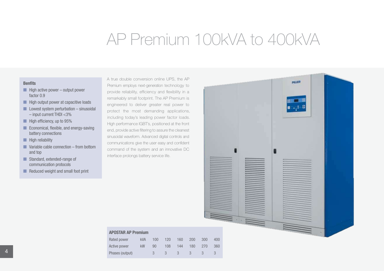# AP Premium 100kVA to 400kVA

### **Benfits**

- $\blacksquare$  High active power output power factor 0.9
- $\blacksquare$  High output power at capacitive loads
- $\blacksquare$  Lowest system perturbation sinusoidal – input current THDI <3%
- $\blacksquare$  High efficiency, up to 95%
- **n** Economical, flexible, and energy-saving battery connections
- $\blacksquare$  High reliability
- $\blacksquare$  Variable cable connection from bottom and top
- **n** Standard, extended-range of communication protocols
- $\blacksquare$  Reduced weight and small foot print

A true double conversion online UPS, the AP Premium employs next-generation technology to provide reliability, efficiency and flexibility in a remarkably small footprint. The AP Premium is engineered to deliver greater real power to protect the most demanding applications, including today's leading power factor loads. High performance IGBT's, positioned at the front end, provide active filtering to assure the cleanest sinusoidal waveform. Advanced digital controls and communications give the user easy and confident command of the system and an innovative DC interface prolongs battery service life.



|  |  |  |  | OSTAR AP Premium |
|--|--|--|--|------------------|
|--|--|--|--|------------------|

AP<sub>(</sub>

|    | Rated power     | <b>kVA</b> | 100           | 120         | 160 | 200  | 300        | 400 |
|----|-----------------|------------|---------------|-------------|-----|------|------------|-----|
|    | Active power    | <b>kW</b>  | 90            | 108         | 144 | 180  | 270        | 360 |
| 4. | Phases (output) |            | $\mathcal{S}$ | $3 \quad 3$ |     | $-3$ | $\sqrt{3}$ |     |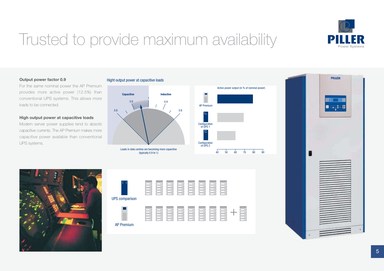

# Trusted to provide maximum availability

### **Output power factor 0.9**

For the same nominal power the AP Premium provides more active power (12.5%) than conventional UPS systems. This allows more loads to be connected.

#### **High output power at capacitive loads**

Modern server power supplies tend to absorb capacitive currents. The AP Premium makes more capacitive power available than conventional UPS systems.

### Hight output power at capacitive loads









| 000 | 000      | 000 | 000       | 000         | 000<br>Ιо  | 000   | 000 |      |
|-----|----------|-----|-----------|-------------|------------|-------|-----|------|
| 000 | 000      | 000 | 000<br>sм | 000         | 000<br>En. | 000   | 000 | 001  |
| 000 | 000      | 000 | 000<br>ы  | 000         | 000<br>ы   | 000   | 000 | 0.01 |
| 000 | 000      | 000 | 000<br>ы  | 000<br>ы    | 000<br>ы   | 0.0.0 | 000 | 00   |
| 000 | 000<br>ы | 000 | 000<br>ы  | 000<br>Bo - | 000<br>Bo. | 000   | 000 | 00   |

## AP Premium



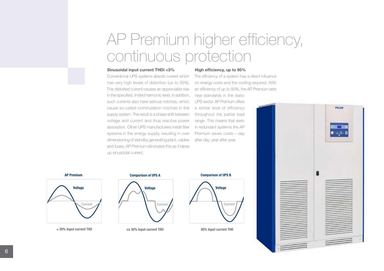# AP Premium higher efficiency, continuous protection

#### **Sinusoidal input current THDi <3%**

Conventional UPS systems absorb current which has very high levels of distortion (up to 35%). This distorted current causes an appreciable rise in the specified, limited harmonic level. In addition, such currents also have serious notches, which cause so-called commutation notches in the supply system. The result is a phase shift between voltage and current and thus reactive power absorption. Other UPS manufacturers install filter systems in the energy supply, resulting in over dimensioning of standby generating plant, cables and fuses. AP Premium eliminates this as it takes up sinusoidal current.

#### **High efficiency, up to 95%**

The efficiency of a system has a direct influence on energy costs and the cooling required. With an efficiency of up to 95%, the AP Premium sets

new standards in the static UPS sector. AP Premium offers a similar level of efficiency throughout the partial load range. This means that even in redundant systems the AP Premium saves costs – day after day, year after year.



#### **AP Premium**



**ca 30% Input current THO 26% Input current THO < 30% Input current THO**

### **Comparison of UPS A Comparison of UPS A**



## **Comparison of UPS B Comparison of UPS B**

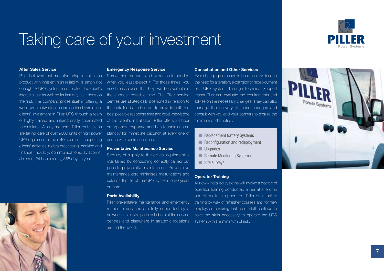# Taking care of your investment



### **After Sales Service**

Piller believes that manufacturing a first class product with inherent high reliability is simply not enough. A UPS system must protect the client's interests just as well on its last day as it does on the first. The company prides itself in offering a world-wide network in the professional care of our clients' investment in Piller UPS through a team of highly trained and internationally coordinated technicians. At any moment, Piller technicians are taking care of over 9000 units of high power UPS equipment in over 40 countries, supporting clients' activities in data processing, banking and finance, industry, communications, aviation or defence, 24 hours a day, 365 days a year.



#### **Emergency Response Service**

Sometimes, support and expertise is needed when you least expect it. For those times, you need reassurance that help will be available in the shortest possible time. The Piller service centres are strategically positioned in relation to the installed base in order to provide both the best possible response time and local knowledge of the client's installation. Piller offers 24 hour emergency response and has technicians on standby for immediate dispatch at every one of our service centre locations.

#### **Preventative Maintenance Service**

Security of supply to the critical equipment is maintained by conducting correctly carried out periodic preventative maintenance. Preventative maintenance also minimises malfunctions and extends the life of the UPS system to 20 years or more.

#### **Parts Availability**

Piller preventative maintenance and emergency response services are fully supported by a network of stocked parts held both at the service centres and elsewhere in strategic locations system with the minimum of risk. around the world.

#### **Consultation and Other Services**

Ever changing demands in business can lead to the need for alteration, expansion or redeployment of a UPS system. Through Technical Support teams Piller can evaluate the requirements and advise on the necessary changes. They can also manage the delivery of these changes and consult with you and your partners to ensure the minimum of disruption.

- $\blacksquare$  Replacement Battery Systems
- **n** Reconfiguration and redeployment
- **n** Upgrades
- **n** Remote Monitoring Systems
- $\blacksquare$  Site surveys

#### **Operator Training**

All newly installed systems will involve a degree of operator training conducted either at site or in one of our training centres. Piller offer further training by way of refresher courses and for new employees ensuring that client staff continue to have the skills necessary to operate the UPS